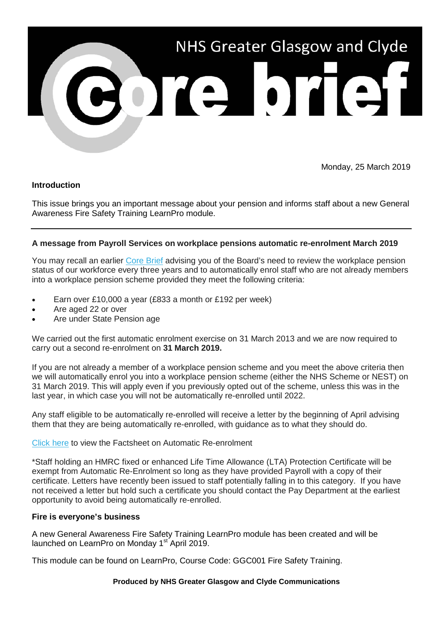

Monday, 25 March 2019

# **Introduction**

This issue brings you an important message about your pension and informs staff about a new General Awareness Fire Safety Training LearnPro module.

## **A message from Payroll Services on workplace pensions automatic re-enrolment March 2019**

You may recall an earlier [Core Brief](http://nhsggc.us12.list-manage1.com/track/click?u=0f385b5aea37eaf0213bd19fb&id=ed23b47b65&e=5af5e1832c) advising you of the Board's need to review the workplace pension status of our workforce every three years and to automatically enrol staff who are not already members into a workplace pension scheme provided they meet the following criteria:

- Earn over £10,000 a year (£833 a month or £192 per week)
- Are aged 22 or over
- Are under State Pension age

We carried out the first automatic enrolment exercise on 31 March 2013 and we are now required to carry out a second re-enrolment on **31 March 2019.**

If you are not already a member of a workplace pension scheme and you meet the above criteria then we will automatically enrol you into a workplace pension scheme (either the NHS Scheme or NEST) on 31 March 2019. This will apply even if you previously opted out of the scheme, unless this was in the last year, in which case you will not be automatically re-enrolled until 2022.

Any staff eligible to be automatically re-enrolled will receive a letter by the beginning of April advising them that they are being automatically re-enrolled, with guidance as to what they should do.

### [Click here](http://www.staffnet.ggc.scot.nhs.uk/Corporate%20Services/Communications/Briefs/Documents/Pension%20Mar%202019%20FactSheet.pdf) to view the Factsheet on Automatic Re-enrolment

\*Staff holding an HMRC fixed or enhanced Life Time Allowance (LTA) Protection Certificate will be exempt from Automatic Re-Enrolment so long as they have provided Payroll with a copy of their certificate. Letters have recently been issued to staff potentially falling in to this category. If you have not received a letter but hold such a certificate you should contact the Pay Department at the earliest opportunity to avoid being automatically re-enrolled.

### **Fire is everyone's business**

A new General Awareness Fire Safety Training LearnPro module has been created and will be launched on LearnPro on Monday 1<sup>st</sup> April 2019.

This module can be found on LearnPro, Course Code: GGC001 Fire Safety Training.

### **Produced by NHS Greater Glasgow and Clyde Communications**